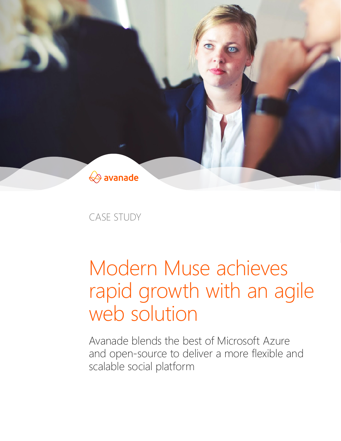

CASE STUDY

# Modern Muse achieves rapid growth with an agile web solution

Avanade blends the best of Microsoft Azure and open-source to deliver a more flexible and scalable social platform